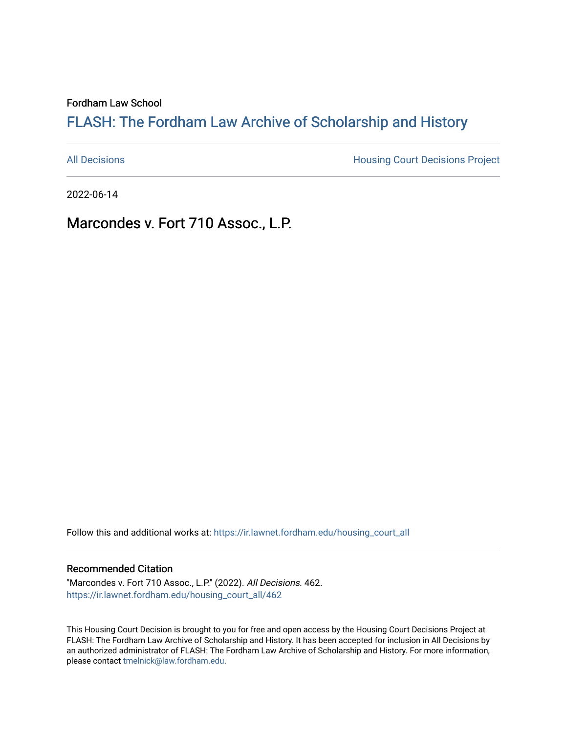Fordham Law School

# FLASH: The For[dham Law Archive of Scholarship and Hist](https://ir.lawnet.fordham.edu/)ory

[All Decisions](https://ir.lawnet.fordham.edu/housing_court_all) **All Decisions All Decisions** Project

2022-06-14

Marcondes v. Fort 710 Assoc., L.P.

Follow this and additional works at: [https://ir.lawnet.fordham.edu/housing\\_court\\_all](https://ir.lawnet.fordham.edu/housing_court_all?utm_source=ir.lawnet.fordham.edu%2Fhousing_court_all%2F462&utm_medium=PDF&utm_campaign=PDFCoverPages)

#### Recommended Citation

"Marcondes v. Fort 710 Assoc., L.P." (2022). All Decisions. 462. [https://ir.lawnet.fordham.edu/housing\\_court\\_all/462](https://ir.lawnet.fordham.edu/housing_court_all/462?utm_source=ir.lawnet.fordham.edu%2Fhousing_court_all%2F462&utm_medium=PDF&utm_campaign=PDFCoverPages)

This Housing Court Decision is brought to you for free and open access by the Housing Court Decisions Project at FLASH: The Fordham Law Archive of Scholarship and History. It has been accepted for inclusion in All Decisions by an authorized administrator of FLASH: The Fordham Law Archive of Scholarship and History. For more information, please contact [tmelnick@law.fordham.edu](mailto:tmelnick@law.fordham.edu).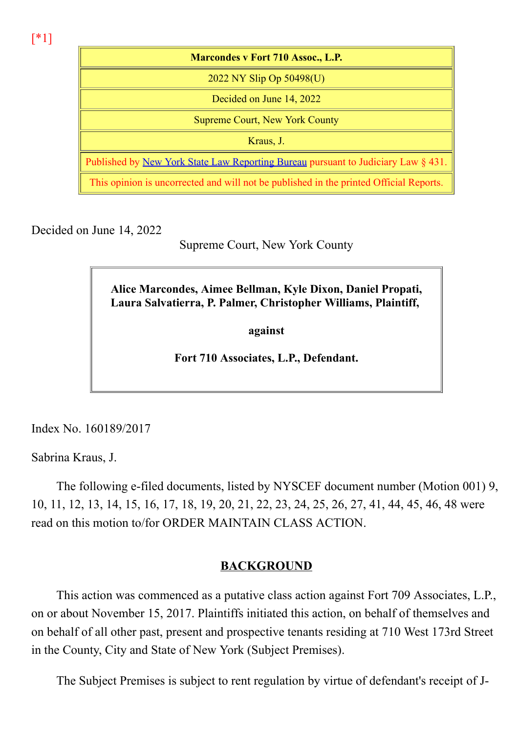[\*1]

| <b>Marcondes v Fort 710 Assoc., L.P.</b>                                                 |
|------------------------------------------------------------------------------------------|
| 2022 NY Slip Op $50498(U)$                                                               |
| Decided on June 14, 2022                                                                 |
| <b>Supreme Court, New York County</b>                                                    |
| Kraus, J.                                                                                |
| Published by <u>New York State Law Reporting Bureau</u> pursuant to Judiciary Law § 431. |
| This opinion is uncorrected and will not be published in the printed Official Reports.   |

Decided on June 14, 2022

Supreme Court, New York County

Alice Marcondes, Aimee Bellman, Kyle Dixon, Daniel Propati, Laura Salvatierra, P. Palmer, Christopher Williams, Plaintiff,

against

Fort 710 Associates, L.P., Defendant.

Index No. 160189/2017

Sabrina Kraus, J.

The following e-filed documents, listed by NYSCEF document number (Motion 001) 9, 10, 11, 12, 13, 14, 15, 16, 17, 18, 19, 20, 21, 22, 23, 24, 25, 26, 27, 41, 44, 45, 46, 48 were read on this motion to/for ORDER MAINTAIN CLASS ACTION.

## BACKGROUND

This action was commenced as a putative class action against Fort 709 Associates, L.P., on or about November 15, 2017. Plaintiffs initiated this action, on behalf of themselves and on behalf of all other past, present and prospective tenants residing at 710 West 173rd Street in the County, City and State of New York (Subject Premises).

The Subject Premises is subject to rent regulation by virtue of defendant's receipt of J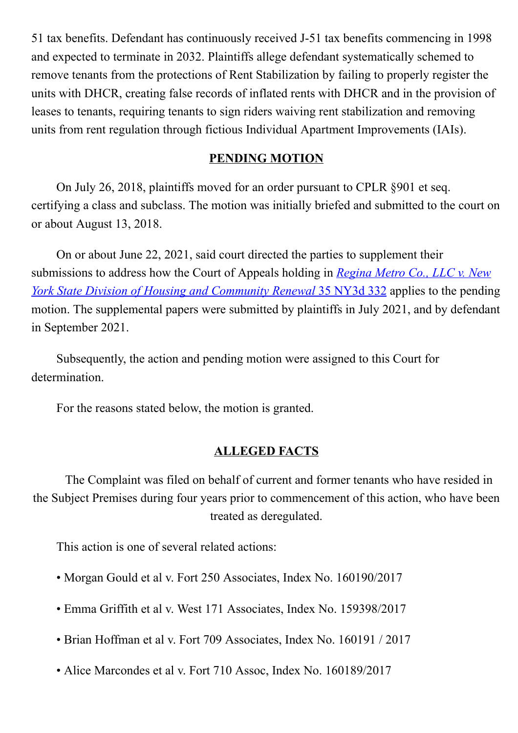51 tax benefits. Defendant has continuously received J-51 tax benefits commencing in 1998 and expected to terminate in 2032. Plaintiffs allege defendant systematically schemed to remove tenants from the protections of Rent Stabilization by failing to properly register the units with DHCR, creating false records of inflated rents with DHCR and in the provision of leases to tenants, requiring tenants to sign riders waiving rent stabilization and removing units from rent regulation through fictious Individual Apartment Improvements (IAIs).

#### PENDING MOTION

On July 26, 2018, plaintiffs moved for an order pursuant to CPLR §901 et seq. certifying a class and subclass. The motion was initially briefed and submitted to the court on or about August 13, 2018.

On or about June 22, 2021, said court directed the parties to supplement their submissions to address how the Court of Appeals holding in Regina Metro Co., LLC v. New York State Division of Housing and Community Renewal 35 NY3d 332 applies to the pending motion. The supplemental papers were submitted by plaintiffs in July 2021, and by defendant in September 2021.

Subsequently, the action and pending motion were assigned to this Court for determination.

For the reasons stated below, the motion is granted.

## ALLEGED FACTS

The Complaint was filed on behalf of current and former tenants who have resided in the Subject Premises during four years prior to commencement of this action, who have been treated as deregulated.

This action is one of several related actions:

- Morgan Gould et al v. Fort 250 Associates, Index No. 160190/2017
- Emma Griffith et al v. West 171 Associates, Index No. 159398/2017
- Brian Hoffman et al v. Fort 709 Associates, Index No. 160191 / 2017
- Alice Marcondes et al v. Fort 710 Assoc, Index No. 160189/2017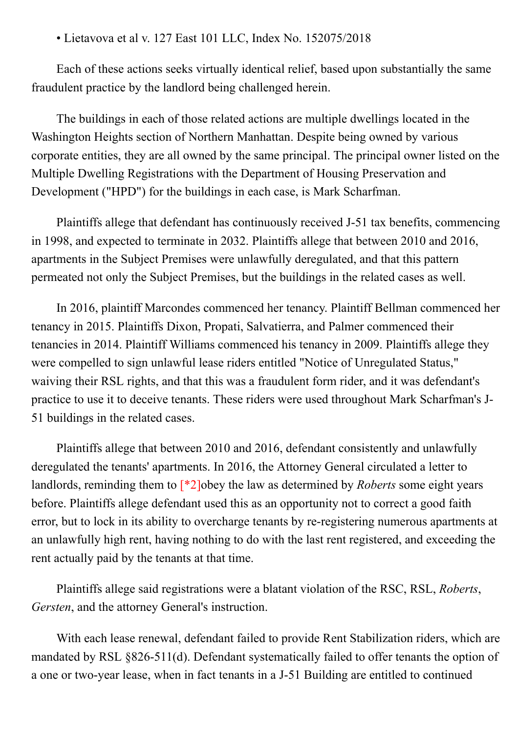• Lietavova et al v. 127 East 101 LLC, Index No. 152075/2018

Each of these actions seeks virtually identical relief, based upon substantially the same fraudulent practice by the landlord being challenged herein.

The buildings in each of those related actions are multiple dwellings located in the Washington Heights section of Northern Manhattan. Despite being owned by various corporate entities, they are all owned by the same principal. The principal owner listed on the Multiple Dwelling Registrations with the Department of Housing Preservation and Development ("HPD") for the buildings in each case, is Mark Scharfman.

Plaintiffs allege that defendant has continuously received J-51 tax benefits, commencing in 1998, and expected to terminate in 2032. Plaintiffs allege that between 2010 and 2016, apartments in the Subject Premises were unlawfully deregulated, and that this pattern permeated not only the Subject Premises, but the buildings in the related cases as well.

In 2016, plaintiff Marcondes commenced her tenancy. Plaintiff Bellman commenced her tenancy in 2015. Plaintiffs Dixon, Propati, Salvatierra, and Palmer commenced their tenancies in 2014. Plaintiff Williams commenced his tenancy in 2009. Plaintiffs allege they were compelled to sign unlawful lease riders entitled "Notice of Unregulated Status," waiving their RSL rights, and that this was a fraudulent form rider, and it was defendant's practice to use it to deceive tenants. These riders were used throughout Mark Scharfman's J-51 buildings in the related cases.

Plaintiffs allege that between 2010 and 2016, defendant consistently and unlawfully deregulated the tenants' apartments. In 2016, the Attorney General circulated a letter to landlords, reminding them to  $\lceil *2 \rceil$ obey the law as determined by *Roberts* some eight years before. Plaintiffs allege defendant used this as an opportunity not to correct a good faith error, but to lock in its ability to overcharge tenants by re-registering numerous apartments at an unlawfully high rent, having nothing to do with the last rent registered, and exceeding the rent actually paid by the tenants at that time.

Plaintiffs allege said registrations were a blatant violation of the RSC, RSL, Roberts, Gersten, and the attorney General's instruction.

With each lease renewal, defendant failed to provide Rent Stabilization riders, which are mandated by RSL  $§826-511(d)$ . Defendant systematically failed to offer tenants the option of a one or two-year lease, when in fact tenants in a J-51 Building are entitled to continued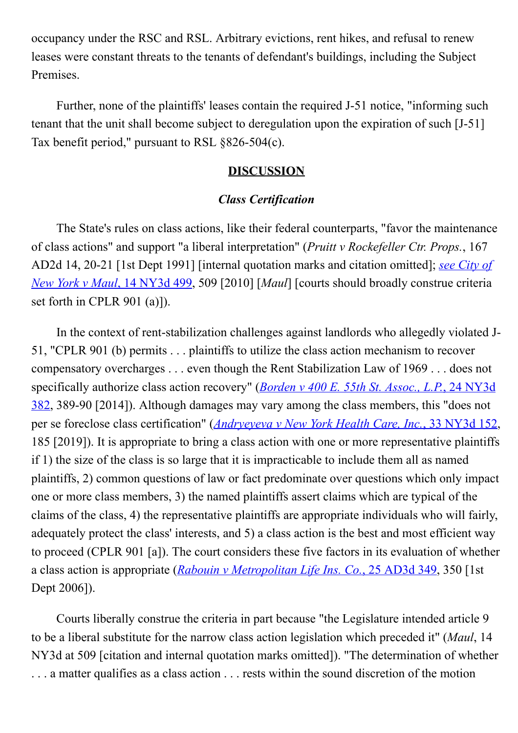occupancy under the RSC and RSL. Arbitrary evictions, rent hikes, and refusal to renew leases were constant threats to the tenants of defendant's buildings, including the Subject Premises.

Further, none of the plaintiffs' leases contain the required J-51 notice, "informing such tenant that the unit shall become subject to deregulation upon the expiration of such [J-51] Tax benefit period," pursuant to RSL  $§826-504(c)$ .

#### **DISCUSSION**

## Class Certification

The State's rules on class actions, like their federal counterparts, "favor the maintenance of class actions" and support "a liberal interpretation" (Pruitt v Rockefeller Ctr. Props., 167 AD2d 14, 20-21 [1st Dept 1991] [internal quotation marks and citation omitted]; see City of New York v Maul, 14 NY3d 499, 509 [2010] [Maul] [courts should broadly construe criteria set forth in CPLR 901 (a)]).

In the context of rent-stabilization challenges against landlords who allegedly violated J-51, "CPLR 901 (b) permits . . . plaintiffs to utilize the class action mechanism to recover compensatory overcharges . . . even though the Rent Stabilization Law of 1969 . . . does not specifically authorize class action recovery" (*Borden v 400 E. 55th St. Assoc., L.P.*, 24 NY3d 382, 389-90 [2014]). Although damages may vary among the class members, this "does not per se foreclose class certification" (Andryeyeva v New York Health Care, Inc., 33 NY3d 152, 185 [2019]). It is appropriate to bring a class action with one or more representative plaintiffs if 1) the size of the class is so large that it is impracticable to include them all as named plaintiffs, 2) common questions of law or fact predominate over questions which only impact one or more class members, 3) the named plaintiffs assert claims which are typical of the claims of the class, 4) the representative plaintiffs are appropriate individuals who will fairly, adequately protect the class' interests, and 5) a class action is the best and most efficient way to proceed (CPLR 901 [a]). The court considers these five factors in its evaluation of whether a class action is appropriate (Rabouin v Metropolitan Life Ins. Co., 25 AD3d 349, 350 [1st Dept 2006]).

Courts liberally construe the criteria in part because "the Legislature intended article 9 to be a liberal substitute for the narrow class action legislation which preceded it" (Maul, 14 NY3d at 509 [citation and internal quotation marks omitted]). "The determination of whether . . . a matter qualifies as a class action . . . rests within the sound discretion of the motion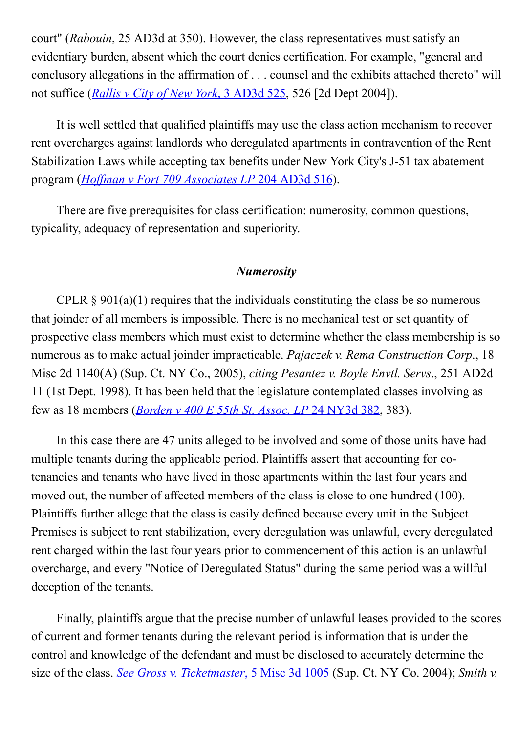court" (Rabouin, 25 AD3d at 350). However, the class representatives must satisfy an evidentiary burden, absent which the court denies certification. For example, "general and conclusory allegations in the affirmation of . . . counsel and the exhibits attached thereto" will not suffice (*Rallis v City of New York*, 3 AD3d 525, 526 [2d Dept 2004]).

It is well settled that qualified plaintiffs may use the class action mechanism to recover rent overcharges against landlords who deregulated apartments in contravention of the Rent Stabilization Laws while accepting tax benefits under New York City's J-51 tax abatement program (Hoffman v Fort 709 Associates LP 204 AD3d 516).

There are five prerequisites for class certification: numerosity, common questions, typicality, adequacy of representation and superiority.

#### Numerosity

CPLR  $\S 901(a)(1)$  requires that the individuals constituting the class be so numerous that joinder of all members is impossible. There is no mechanical test or set quantity of prospective class members which must exist to determine whether the class membership is so numerous as to make actual joinder impracticable. *Pajaczek v. Rema Construction Corp.*, 18 Misc 2d 1140(A) (Sup. Ct. NY Co., 2005), citing Pesantez v. Boyle Envtl. Servs., 251 AD2d 11 (1st Dept. 1998). It has been held that the legislature contemplated classes involving as few as 18 members (Borden v 400 E 55th St. Assoc. LP 24 NY3d 382, 383).

In this case there are 47 units alleged to be involved and some of those units have had multiple tenants during the applicable period. Plaintiffs assert that accounting for cotenancies and tenants who have lived in those apartments within the last four years and moved out, the number of affected members of the class is close to one hundred (100). Plaintiffs further allege that the class is easily defined because every unit in the Subject Premises is subject to rent stabilization, every deregulation was unlawful, every deregulated rent charged within the last four years prior to commencement of this action is an unlawful overcharge, and every "Notice of Deregulated Status" during the same period was a willful deception of the tenants.

Finally, plaintiffs argue that the precise number of unlawful leases provided to the scores of current and former tenants during the relevant period is information that is under the control and knowledge of the defendant and must be disclosed to accurately determine the size of the class. See Gross v. Ticketmaster, 5 Misc 3d  $1005$  (Sup. Ct. NY Co. 2004); Smith v.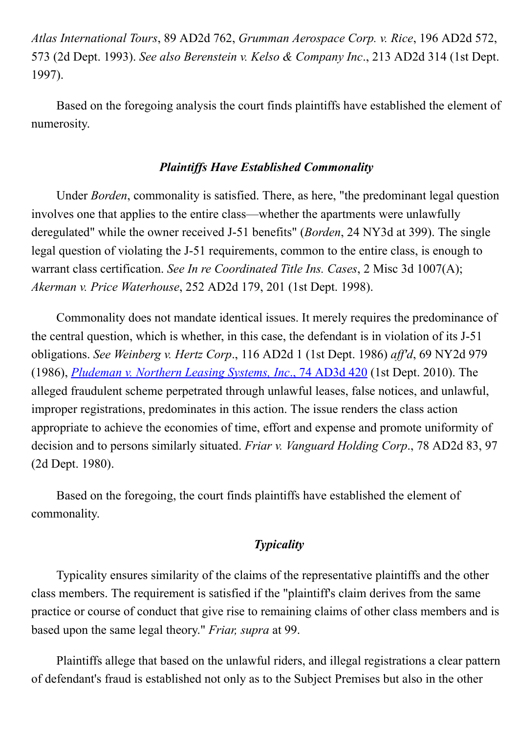Atlas International Tours, 89 AD2d 762, Grumman Aerospace Corp. v. Rice, 196 AD2d 572, 573 (2d Dept. 1993). See also Berenstein v. Kelso & Company Inc., 213 AD2d 314 (1st Dept. 1997).

Based on the foregoing analysis the court finds plaintiffs have established the element of numerosity.

#### Plaintiffs Have Established Commonality

Under Borden, commonality is satisfied. There, as here, "the predominant legal question involves one that applies to the entire class—whether the apartments were unlawfully deregulated" while the owner received J-51 benefits" (*Borden*, 24 NY3d at 399). The single legal question of violating the J-51 requirements, common to the entire class, is enough to warrant class certification. See In re Coordinated Title Ins. Cases, 2 Misc 3d 1007(A); Akerman v. Price Waterhouse, 252 AD2d 179, 201 (1st Dept. 1998).

Commonality does not mandate identical issues. It merely requires the predominance of the central question, which is whether, in this case, the defendant is in violation of its J-51 obligations. See Weinberg v. Hertz Corp., 116 AD2d 1 (1st Dept. 1986) aff'd, 69 NY2d 979 (1986), Pludeman v. Northern Leasing Systems, Inc., 74 AD3d 420 (1st Dept. 2010). The alleged fraudulent scheme perpetrated through unlawful leases, false notices, and unlawful, improper registrations, predominates in this action. The issue renders the class action appropriate to achieve the economies of time, effort and expense and promote uniformity of decision and to persons similarly situated. Friar v. Vanguard Holding Corp., 78 AD2d 83, 97 (2d Dept. 1980).

Based on the foregoing, the court finds plaintiffs have established the element of commonality.

## **Typicality**

Typicality ensures similarity of the claims of the representative plaintiffs and the other class members. The requirement is satisfied if the "plaintiff's claim derives from the same practice or course of conduct that give rise to remaining claims of other class members and is based upon the same legal theory." Friar, supra at 99.

Plaintiffs allege that based on the unlawful riders, and illegal registrations a clear pattern of defendant's fraud is established not only as to the Subject Premises but also in the other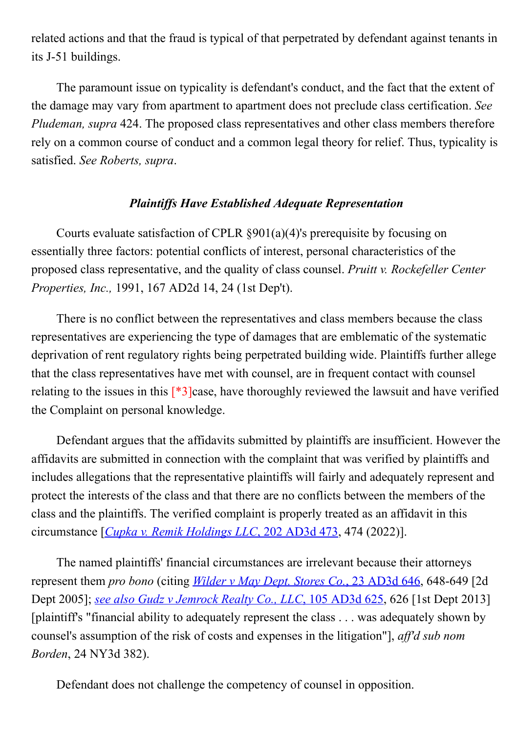related actions and that the fraud is typical of that perpetrated by defendant against tenants in its J-51 buildings.

The paramount issue on typicality is defendant's conduct, and the fact that the extent of the damage may vary from apartment to apartment does not preclude class certification. See Pludeman, supra 424. The proposed class representatives and other class members therefore rely on a common course of conduct and a common legal theory for relief. Thus, typicality is satisfied. See Roberts, supra.

#### Plaintiffs Have Established Adequate Representation

Courts evaluate satisfaction of CPLR §901(a)(4)'s prerequisite by focusing on essentially three factors: potential conflicts of interest, personal characteristics of the proposed class representative, and the quality of class counsel. Pruitt v. Rockefeller Center Properties, Inc., 1991, 167 AD2d 14, 24 (1st Dep't).

There is no conflict between the representatives and class members because the class representatives are experiencing the type of damages that are emblematic of the systematic deprivation of rent regulatory rights being perpetrated building wide. Plaintiffs further allege that the class representatives have met with counsel, are in frequent contact with counsel relating to the issues in this  $\lceil *3 \rceil$  case, have thoroughly reviewed the lawsuit and have verified the Complaint on personal knowledge.

Defendant argues that the affidavits submitted by plaintiffs are insufficient. However the affidavits are submitted in connection with the complaint that was verified by plaintiffs and includes allegations that the representative plaintiffs will fairly and adequately represent and protect the interests of the class and that there are no conflicts between the members of the class and the plaintiffs. The verified complaint is properly treated as an affidavit in this circumstance [Cupka v. Remik Holdings LLC, 202 AD3d 473, 474 (2022)].

The named plaintiffs' financial circumstances are irrelevant because their attorneys represent them *pro bono* (citing *Wilder v May Dept. Stores Co.*, 23 AD3d  $646$ , 648-649 [2d] Dept 2005]; see also Gudz v Jemrock Realty Co., LLC, 105 AD3d 625, 626 [1st Dept 2013] [plaintiff's "financial ability to adequately represent the class . . . was adequately shown by counsel's assumption of the risk of costs and expenses in the litigation"], aff'd sub nom Borden, 24 NY3d 382).

Defendant does not challenge the competency of counsel in opposition.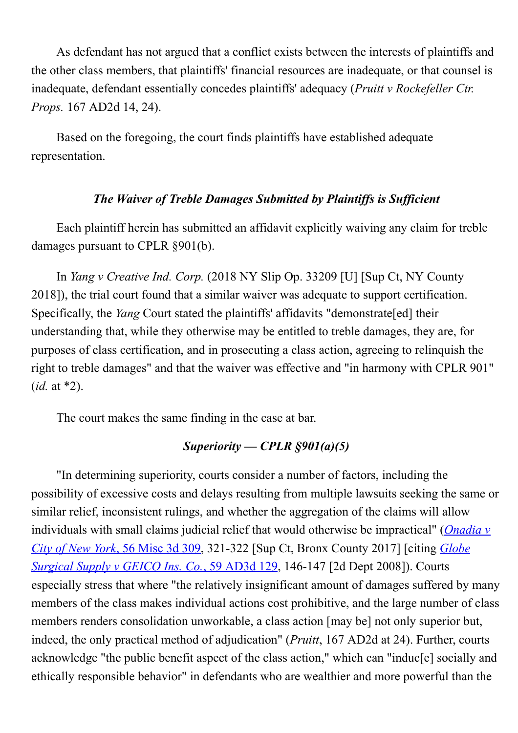As defendant has not argued that a conflict exists between the interests of plaintiffs and the other class members, that plaintiffs' financial resources are inadequate, or that counsel is inadequate, defendant essentially concedes plaintiffs' adequacy (Pruitt v Rockefeller Ctr. Props. 167 AD2d 14, 24).

Based on the foregoing, the court finds plaintiffs have established adequate representation.

## The Waiver of Treble Damages Submitted by Plaintiffs is Sufficient

Each plaintiff herein has submitted an affidavit explicitly waiving any claim for treble damages pursuant to CPLR §901(b).

In Yang v Creative Ind. Corp. (2018 NY Slip Op. 33209 [U] [Sup Ct, NY County 2018]), the trial court found that a similar waiver was adequate to support certification. Specifically, the *Yang* Court stated the plaintiffs' affidavits "demonstrate[ed] their understanding that, while they otherwise may be entitled to treble damages, they are, for purposes of class certification, and in prosecuting a class action, agreeing to relinquish the right to treble damages" and that the waiver was effective and "in harmony with CPLR 901"  $(id. at *2).$ 

The court makes the same finding in the case at bar.

# Superiority — CPLR  $\S 901(a)(5)$

"In determining superiority, courts consider a number of factors, including the possibility of excessive costs and delays resulting from multiple lawsuits seeking the same or similar relief, inconsistent rulings, and whether the aggregation of the claims will allow individuals with small claims judicial relief that would otherwise be impractical" (*Onadia v* City of New York, 56 Misc 3d 309, 321-322 [Sup Ct, Bronx County 2017] [citing *Globe* Surgical Supply v GEICO Ins. Co., 59 AD3d 129, 146-147 [2d Dept 2008]). Courts especially stress that where "the relatively insignificant amount of damages suffered by many members of the class makes individual actions cost prohibitive, and the large number of class members renders consolidation unworkable, a class action [may be] not only superior but, indeed, the only practical method of adjudication" (Pruitt, 167 AD2d at 24). Further, courts acknowledge "the public benefit aspect of the class action," which can "induc[e] socially and ethically responsible behavior" in defendants who are wealthier and more powerful than the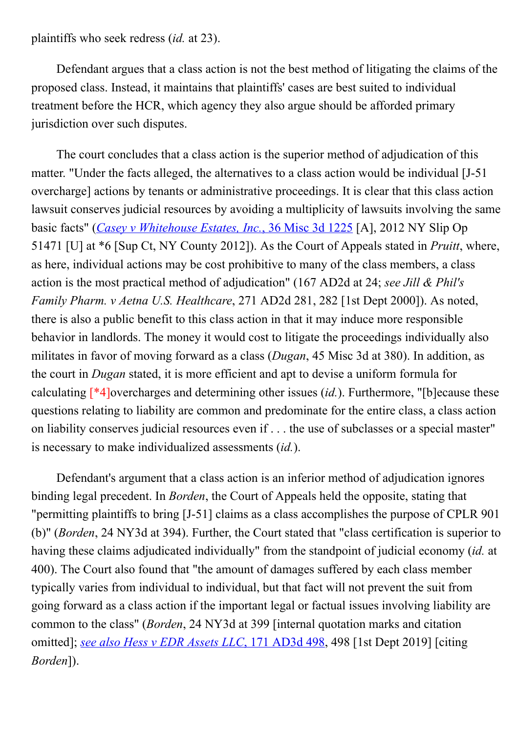plaintiffs who seek redress (id. at 23).

Defendant argues that a class action is not the best method of litigating the claims of the proposed class. Instead, it maintains that plaintiffs' cases are best suited to individual treatment before the HCR, which agency they also argue should be afforded primary jurisdiction over such disputes.

The court concludes that a class action is the superior method of adjudication of this matter. "Under the facts alleged, the alternatives to a class action would be individual [J-51] overcharge] actions by tenants or administrative proceedings. It is clear that this class action lawsuit conserves judicial resources by avoiding a multiplicity of lawsuits involving the same basic facts" (Casey v Whitehouse Estates, Inc., 36 Misc 3d 1225 [A], 2012 NY Slip Op 51471 [U] at \*6 [Sup Ct, NY County 2012]). As the Court of Appeals stated in Pruitt, where, as here, individual actions may be cost prohibitive to many of the class members, a class action is the most practical method of adjudication" (167 AD2d at 24; see Jill & Phil's Family Pharm. v Aetna U.S. Healthcare, 271 AD2d 281, 282 [1st Dept 2000]). As noted, there is also a public benefit to this class action in that it may induce more responsible behavior in landlords. The money it would cost to litigate the proceedings individually also militates in favor of moving forward as a class (*Dugan*, 45 Misc 3d at 380). In addition, as the court in Dugan stated, it is more efficient and apt to devise a uniform formula for calculating  $\lceil *4 \rceil$  overcharges and determining other issues (id.). Furthermore, "[b] ecause these questions relating to liability are common and predominate for the entire class, a class action on liability conserves judicial resources even if . . . the use of subclasses or a special master" is necessary to make individualized assessments (id.).

Defendant's argument that a class action is an inferior method of adjudication ignores binding legal precedent. In *Borden*, the Court of Appeals held the opposite, stating that "permitting plaintiffs to bring [J-51] claims as a class accomplishes the purpose of CPLR 901 (b)" (Borden, 24 NY3d at 394). Further, the Court stated that "class certification is superior to having these claims adjudicated individually" from the standpoint of judicial economy *(id.* at 400). The Court also found that "the amount of damages suffered by each class member typically varies from individual to individual, but that fact will not prevent the suit from going forward as a class action if the important legal or factual issues involving liability are common to the class" (Borden, 24 NY3d at 399 [internal quotation marks and citation omitted]; see also Hess v EDR Assets LLC, 171 AD3d 498, 498 [1st Dept 2019] [citing Borden]).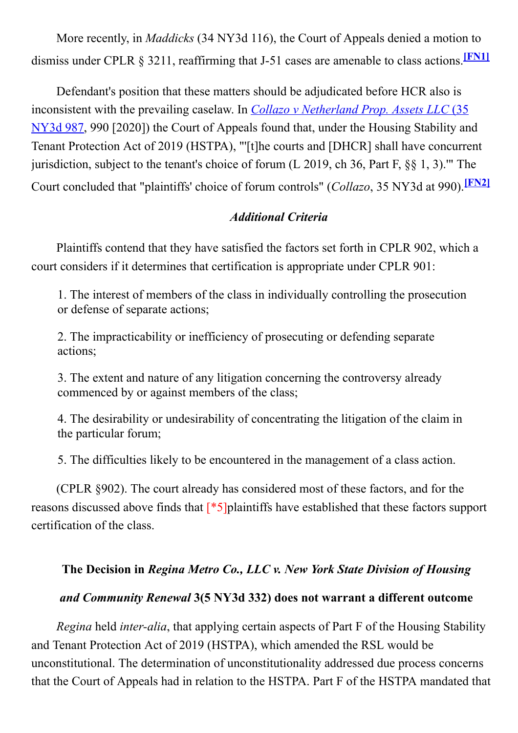More recently, in *Maddicks* (34 NY3d 116), the Court of Appeals denied a motion to dismiss under CPLR  $\S$  3211, reaffirming that J-51 cases are amenable to class actions. [FN1]

Defendant's position that these matters should be adjudicated before HCR also is inconsistent with the prevailing caselaw. In *Collazo v Netherland Prop. Assets LLC* (35) NY3d 987, 990 [2020]) the Court of Appeals found that, under the Housing Stability and Tenant Protection Act of 2019 (HSTPA), "'[t]he courts and [DHCR] shall have concurrent jurisdiction, subject to the tenant's choice of forum (L 2019, ch 36, Part F, §§ 1, 3).'" The Court concluded that "plaintiffs' choice of forum controls" (Collazo, 35 NY3d at 990).<sup>[FN2]</sup>

## Additional Criteria

Plaintiffs contend that they have satisfied the factors set forth in CPLR 902, which a court considers if it determines that certification is appropriate under CPLR 901:

1. The interest of members of the class in individually controlling the prosecution or defense of separate actions;

2. The impracticability or inefficiency of prosecuting or defending separate actions;

3. The extent and nature of any litigation concerning the controversy already commenced by or against members of the class;

4. The desirability or undesirability of concentrating the litigation of the claim in the particular forum;

5. The difficulties likely to be encountered in the management of a class action.

(CPLR §902). The court already has considered most of these factors, and for the reasons discussed above finds that [\*5]plaintiffs have established that these factors support certification of the class.

# The Decision in Regina Metro Co., LLC v. New York State Division of Housing

# and Community Renewal 3(5 NY3d 332) does not warrant a different outcome

Regina held *inter-alia*, that applying certain aspects of Part F of the Housing Stability and Tenant Protection Act of 2019 (HSTPA), which amended the RSL would be unconstitutional. The determination of unconstitutionality addressed due process concerns that the Court of Appeals had in relation to the HSTPA. Part F of the HSTPA mandated that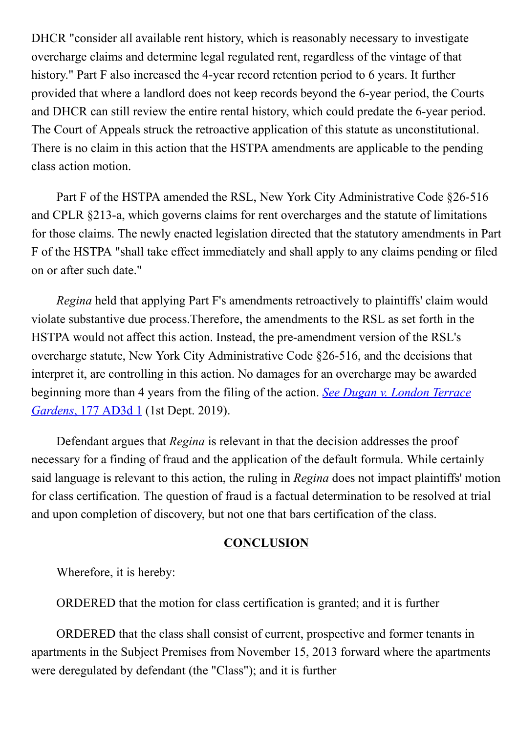DHCR "consider all available rent history, which is reasonably necessary to investigate overcharge claims and determine legal regulated rent, regardless of the vintage of that history." Part F also increased the 4-year record retention period to 6 years. It further provided that where a landlord does not keep records beyond the 6-year period, the Courts and DHCR can still review the entire rental history, which could predate the 6-year period. The Court of Appeals struck the retroactive application of this statute as unconstitutional. There is no claim in this action that the HSTPA amendments are applicable to the pending class action motion.

Part F of the HSTPA amended the RSL, New York City Administrative Code §26-516 and CPLR §213-a, which governs claims for rent overcharges and the statute of limitations for those claims. The newly enacted legislation directed that the statutory amendments in Part F of the HSTPA "shall take effect immediately and shall apply to any claims pending or filed on or after such date."

Regina held that applying Part F's amendments retroactively to plaintiffs' claim would violate substantive due process.Therefore, the amendments to the RSL as set forth in the HSTPA would not affect this action. Instead, the pre-amendment version of the RSL's overcharge statute, New York City Administrative Code §26-516, and the decisions that interpret it, are controlling in this action. No damages for an overcharge may be awarded beginning more than 4 years from the filing of the action. See Dugan v. London Terrace Gardens, 177 AD3d 1 (1st Dept. 2019).

Defendant argues that Regina is relevant in that the decision addresses the proof necessary for a finding of fraud and the application of the default formula. While certainly said language is relevant to this action, the ruling in Regina does not impact plaintiffs' motion for class certification. The question of fraud is a factual determination to be resolved at trial and upon completion of discovery, but not one that bars certification of the class.

#### **CONCLUSION**

Wherefore, it is hereby:

ORDERED that the motion for class certification is granted; and it is further

ORDERED that the class shall consist of current, prospective and former tenants in apartments in the Subject Premises from November 15, 2013 forward where the apartments were deregulated by defendant (the "Class"); and it is further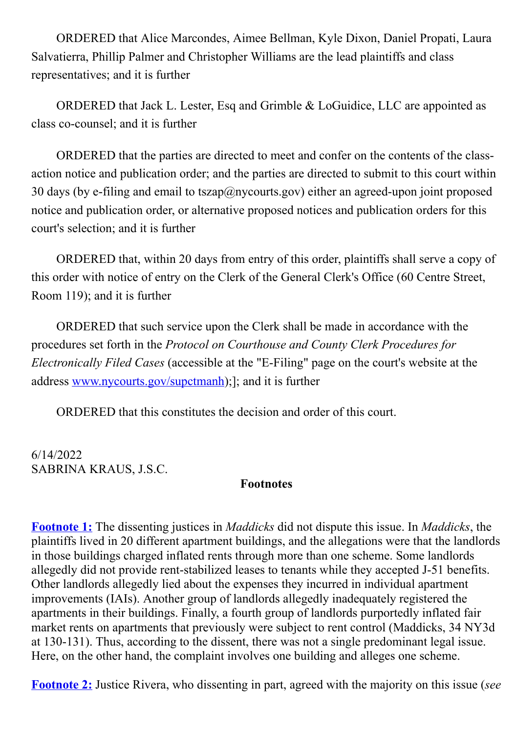ORDERED that Alice Marcondes, Aimee Bellman, Kyle Dixon, Daniel Propati, Laura Salvatierra, Phillip Palmer and Christopher Williams are the lead plaintiffs and class representatives; and it is further

ORDERED that Jack L. Lester, Esq and Grimble & LoGuidice, LLC are appointed as class co-counsel; and it is further

ORDERED that the parties are directed to meet and confer on the contents of the classaction notice and publication order; and the parties are directed to submit to this court within 30 days (by e-filing and email to tszap $(\partial \rho)$  nycourts.gov) either an agreed-upon joint proposed notice and publication order, or alternative proposed notices and publication orders for this court's selection; and it is further

ORDERED that, within 20 days from entry of this order, plaintiffs shall serve a copy of this order with notice of entry on the Clerk of the General Clerk's Office (60 Centre Street, Room 119); and it is further

ORDERED that such service upon the Clerk shall be made in accordance with the procedures set forth in the Protocol on Courthouse and County Clerk Procedures for Electronically Filed Cases (accessible at the "E-Filing" page on the court's website at the address www.nycourts.gov/supctmanh);]; and it is further

ORDERED that this constitutes the decision and order of this court.

6/14/2022 SABRINA KRAUS, J.S.C.

#### Footnotes

Footnote 1: The dissenting justices in *Maddicks* did not dispute this issue. In *Maddicks*, the plaintiffs lived in 20 different apartment buildings, and the allegations were that the landlords in those buildings charged inflated rents through more than one scheme. Some landlords allegedly did not provide rent-stabilized leases to tenants while they accepted J-51 benefits. Other landlords allegedly lied about the expenses they incurred in individual apartment improvements (IAIs). Another group of landlords allegedly inadequately registered the apartments in their buildings. Finally, a fourth group of landlords purportedly inflated fair market rents on apartments that previously were subject to rent control (Maddicks, 34 NY3d at 130-131). Thus, according to the dissent, there was not a single predominant legal issue. Here, on the other hand, the complaint involves one building and alleges one scheme.

Footnote 2: Justice Rivera, who dissenting in part, agreed with the majority on this issue (see